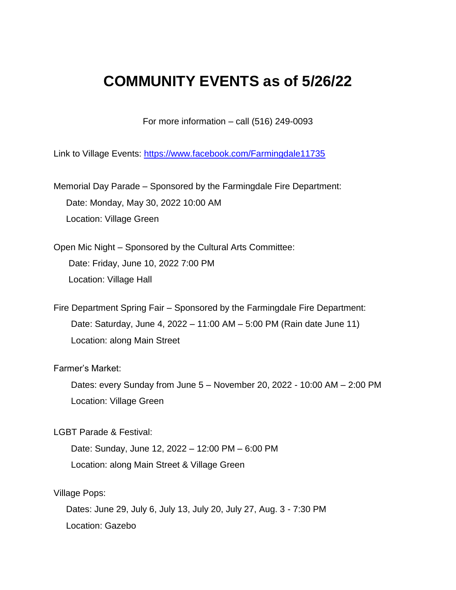## **COMMUNITY EVENTS as of 5/26/22**

For more information – call (516) 249-0093

Link to Village Events:<https://www.facebook.com/Farmingdale11735>

Memorial Day Parade – Sponsored by the Farmingdale Fire Department: Date: Monday, May 30, 2022 10:00 AM Location: Village Green

Open Mic Night – Sponsored by the Cultural Arts Committee: Date: Friday, June 10, 2022 7:00 PM Location: Village Hall

Fire Department Spring Fair – Sponsored by the Farmingdale Fire Department: Date: Saturday, June 4, 2022 – 11:00 AM – 5:00 PM (Rain date June 11) Location: along Main Street

Farmer's Market:

 Dates: every Sunday from June 5 – November 20, 2022 - 10:00 AM – 2:00 PM Location: Village Green

LGBT Parade & Festival:

 Date: Sunday, June 12, 2022 – 12:00 PM – 6:00 PM Location: along Main Street & Village Green

Village Pops:

 Dates: June 29, July 6, July 13, July 20, July 27, Aug. 3 - 7:30 PM Location: Gazebo